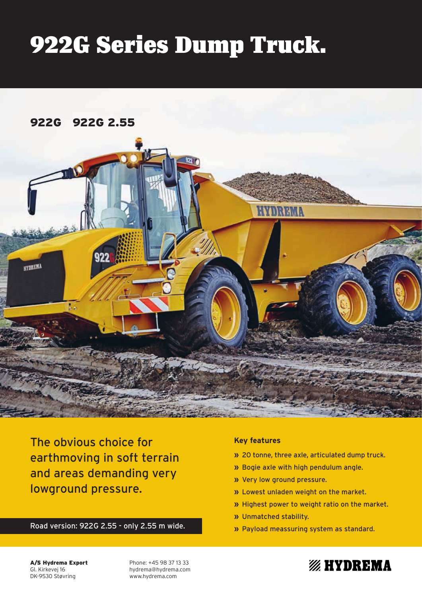# 922G Series Dump Truck.



The obvious choice for earthmoving in soft terrain and areas demanding very lowground pressure.

Road version: 922G 2.55 - only 2.55 m wide.

# **Key features**

- **»** 20 tonne, three axle, articulated dump truck.
- **»** Bogie axle with high pendulum angle.
- **»** Very low ground pressure.
- **»** Lowest unladen weight on the market.
- **»** Highest power to weight ratio on the market.

**% HYDREMA** 

- **»** Unmatched stability.
- **»** Payload meassuring system as standard.

A/S Hydrema Export Gl. Kirkevej 16 DK-9530 Støvring

Phone: +45 98 37 13 33 hydrema@hydrema.com www.hydrema.com